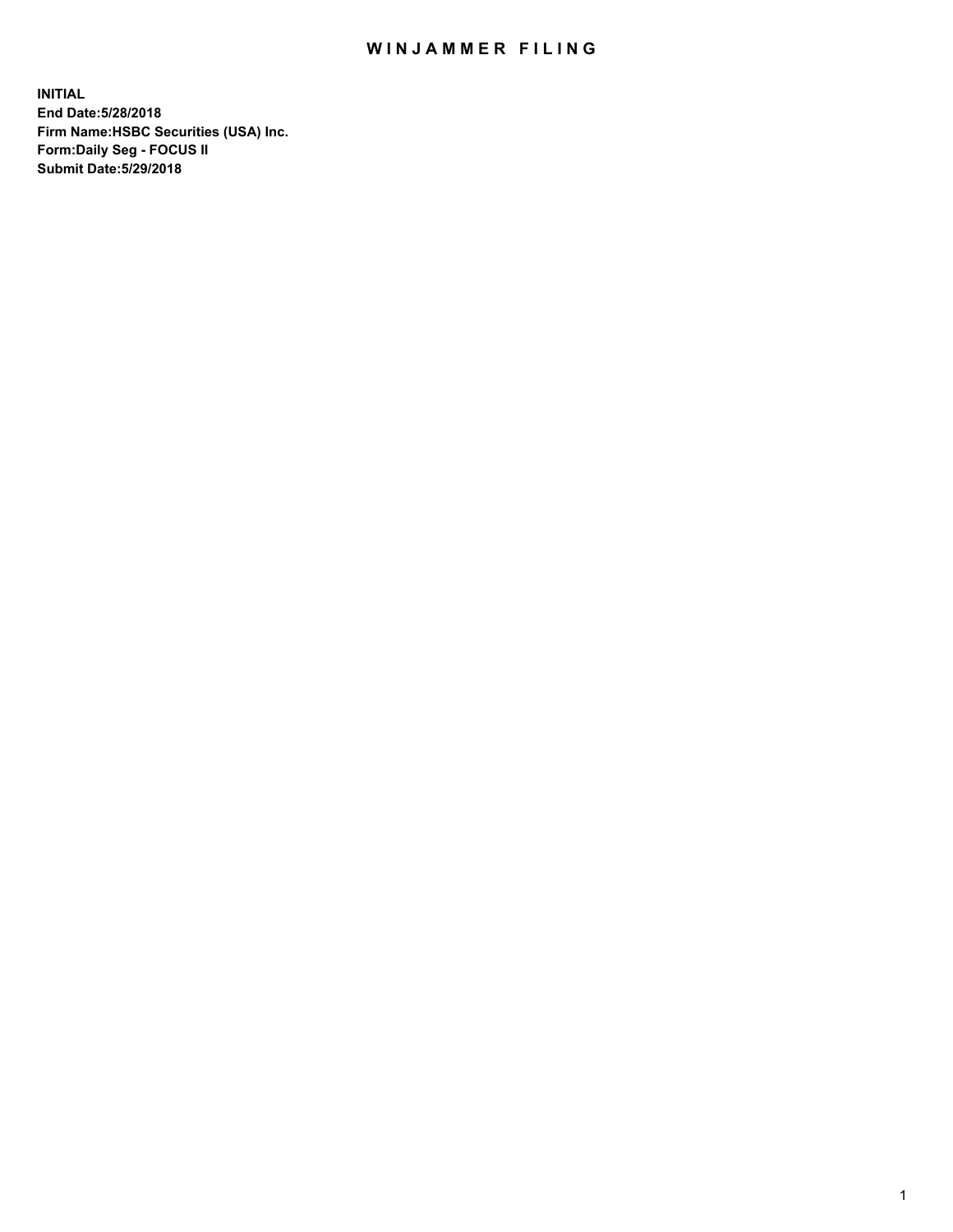## WIN JAMMER FILING

**INITIAL End Date:5/28/2018 Firm Name:HSBC Securities (USA) Inc. Form:Daily Seg - FOCUS II Submit Date:5/29/2018**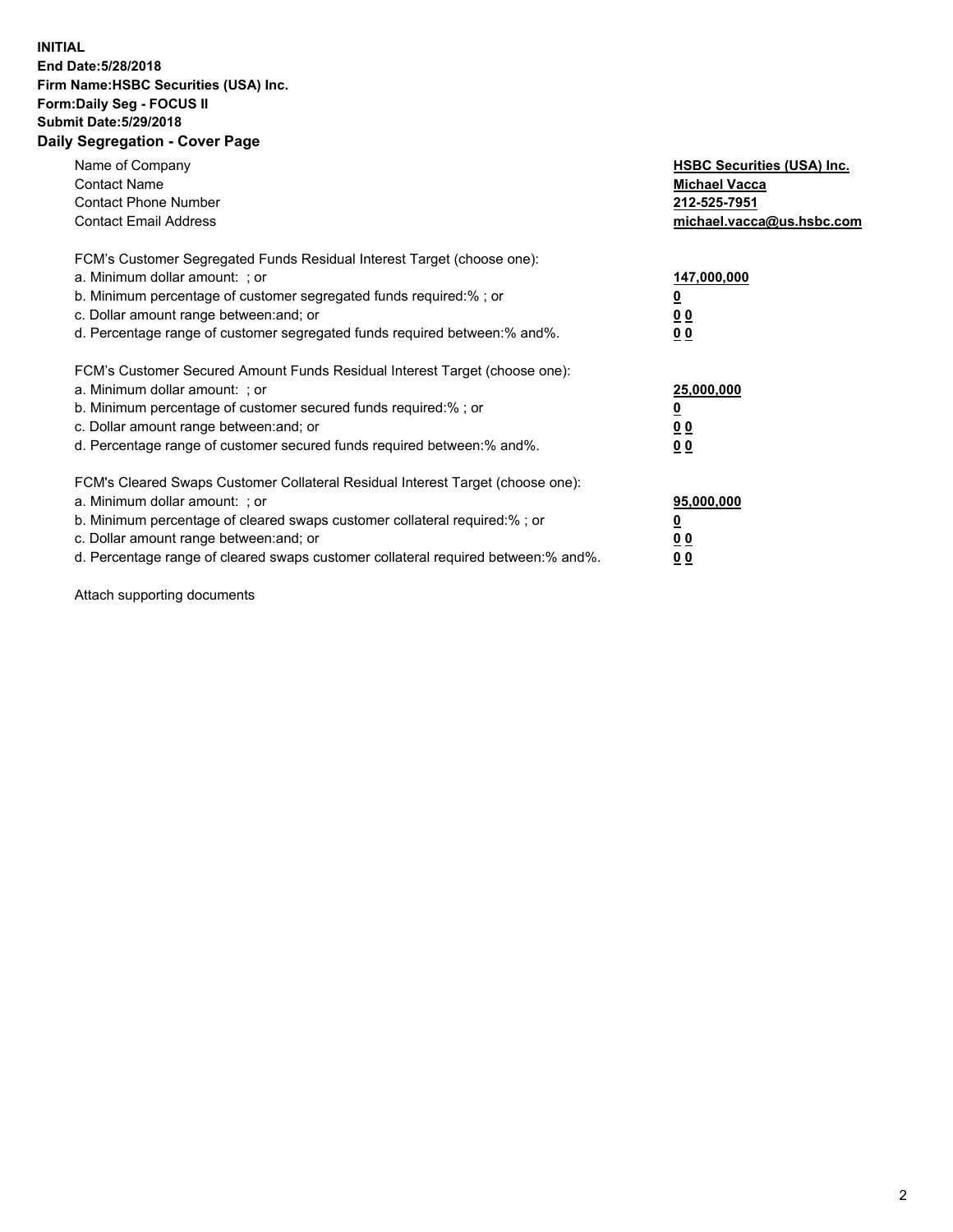## **INITIAL End Date:5/28/2018 Firm Name:HSBC Securities (USA) Inc. Form:Daily Seg - FOCUS II Submit Date:5/29/2018 Daily Segregation - Cover Page**

| Name of Company<br><b>Contact Name</b><br><b>Contact Phone Number</b><br><b>Contact Email Address</b>                                                                                                                                                                                                                         | <b>HSBC Securities (USA) Inc.</b><br><b>Michael Vacca</b><br>212-525-7951<br>michael.vacca@us.hsbc.com |
|-------------------------------------------------------------------------------------------------------------------------------------------------------------------------------------------------------------------------------------------------------------------------------------------------------------------------------|--------------------------------------------------------------------------------------------------------|
| FCM's Customer Segregated Funds Residual Interest Target (choose one):<br>a. Minimum dollar amount: ; or<br>b. Minimum percentage of customer segregated funds required:%; or<br>c. Dollar amount range between: and; or<br>d. Percentage range of customer segregated funds required between:% and%.                         | 147,000,000<br><u>0</u><br>0 <sub>0</sub><br>0 <sub>0</sub>                                            |
| FCM's Customer Secured Amount Funds Residual Interest Target (choose one):<br>a. Minimum dollar amount: ; or<br>b. Minimum percentage of customer secured funds required:%; or<br>c. Dollar amount range between: and; or<br>d. Percentage range of customer secured funds required between: % and %.                         | 25,000,000<br><u>0</u><br><u>00</u><br>0 <sub>0</sub>                                                  |
| FCM's Cleared Swaps Customer Collateral Residual Interest Target (choose one):<br>a. Minimum dollar amount: ; or<br>b. Minimum percentage of cleared swaps customer collateral required:%; or<br>c. Dollar amount range between: and; or<br>d. Percentage range of cleared swaps customer collateral required between:% and%. | 95,000,000<br><u>0</u><br>00<br><u>0 0</u>                                                             |

Attach supporting documents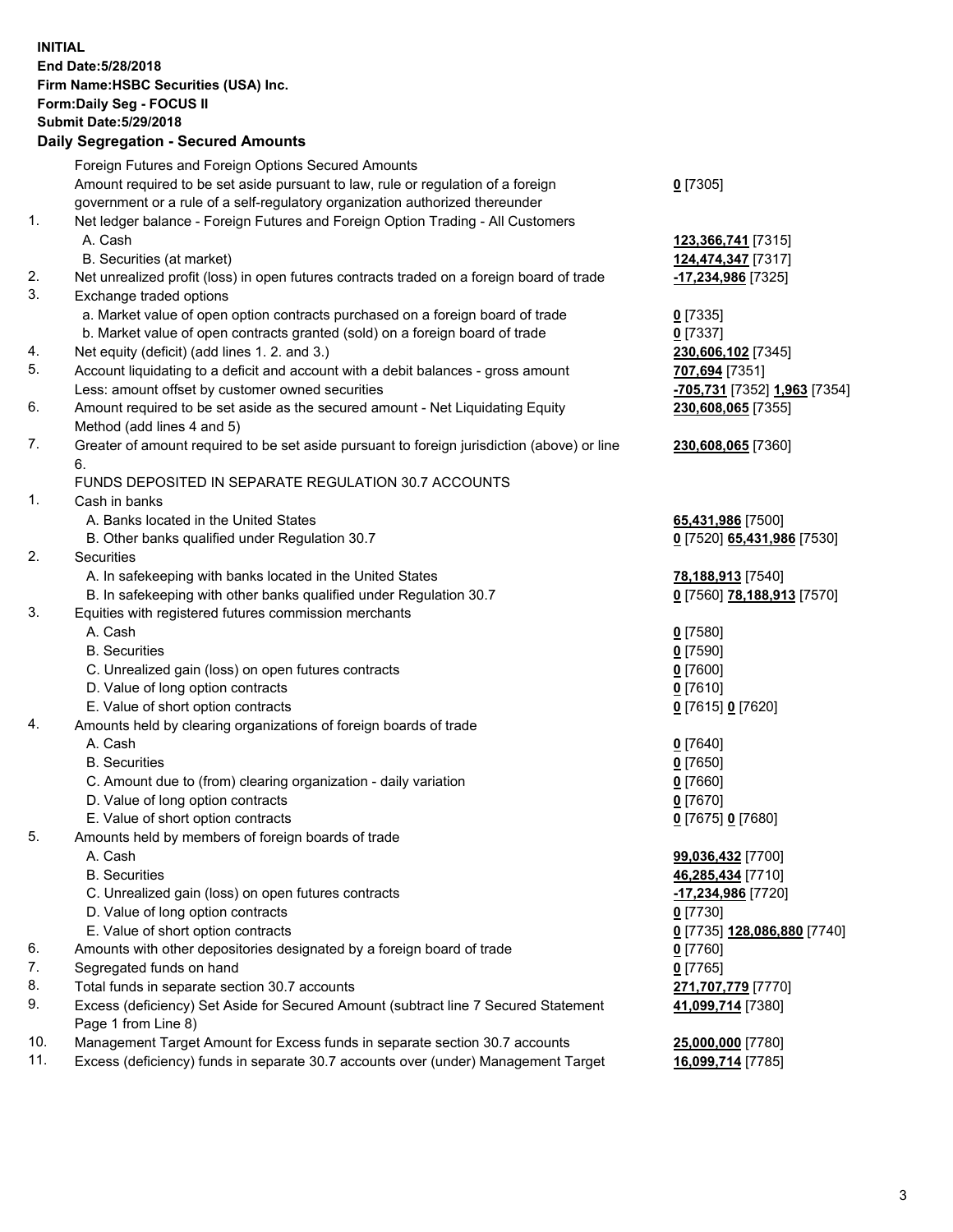**INITIAL End Date:5/28/2018 Firm Name:HSBC Securities (USA) Inc. Form:Daily Seg - FOCUS II Submit Date:5/29/2018 Daily Segregation - Secured Amounts** Foreign Futures and Foreign Options Secured Amounts

Amount required to be set aside pursuant to law, rule or regulation of a foreign government or a rule of a self-regulatory organization authorized thereunder

- 1. Net ledger balance Foreign Futures and Foreign Option Trading All Customers A. Cash **123,366,741** [7315]
	- B. Securities (at market) **124,474,347** [7317]
- 2. Net unrealized profit (loss) in open futures contracts traded on a foreign board of trade **-17,234,986** [7325]
- 3. Exchange traded options
	- a. Market value of open option contracts purchased on a foreign board of trade **0** [7335]
	- b. Market value of open contracts granted (sold) on a foreign board of trade **0** [7337]
- 4. Net equity (deficit) (add lines 1. 2. and 3.) **230,606,102** [7345]
- 5. Account liquidating to a deficit and account with a debit balances gross amount **707,694** [7351] Less: amount offset by customer owned securities **-705,731** [7352] **1,963** [7354]
- 6. Amount required to be set aside as the secured amount Net Liquidating Equity Method (add lines 4 and 5)
- 7. Greater of amount required to be set aside pursuant to foreign jurisdiction (above) or line 6.

## FUNDS DEPOSITED IN SEPARATE REGULATION 30.7 ACCOUNTS

- 1. Cash in banks
	- A. Banks located in the United States **65,431,986** [7500]
	- B. Other banks qualified under Regulation 30.7 **0** [7520] **65,431,986** [7530]
- 2. Securities
	- A. In safekeeping with banks located in the United States **78,188,913** [7540]
	- B. In safekeeping with other banks qualified under Regulation 30.7 **0** [7560] **78,188,913** [7570]
- 3. Equities with registered futures commission merchants
	-
	-
	- C. Unrealized gain (loss) on open futures contracts **0** [7600]
	- D. Value of long option contracts **0** [7610]
	- E. Value of short option contracts **0** [7615] **0** [7620]
- 4. Amounts held by clearing organizations of foreign boards of trade
	-
	-
	- C. Amount due to (from) clearing organization daily variation **0** [7660]
	- D. Value of long option contracts **0** [7670]
	- E. Value of short option contracts **0** [7675] **0** [7680]
- 5. Amounts held by members of foreign boards of trade
	-
	-
	- C. Unrealized gain (loss) on open futures contracts **-17,234,986** [7720]
	- D. Value of long option contracts **0** [7730]
	- E. Value of short option contracts **0** [7735] **128,086,880** [7740]
- 6. Amounts with other depositories designated by a foreign board of trade **0** [7760]
- 7. Segregated funds on hand **0** [7765]
- 8. Total funds in separate section 30.7 accounts **271,707,779** [7770]
- 9. Excess (deficiency) Set Aside for Secured Amount (subtract line 7 Secured Statement Page 1 from Line 8)
- 10. Management Target Amount for Excess funds in separate section 30.7 accounts **25,000,000** [7780]
- 11. Excess (deficiency) funds in separate 30.7 accounts over (under) Management Target **16,099,714** [7785]
- **0** [7305]
- 
- **230,608,065** [7355]
- **230,608,065** [7360]
- 
- 
- A. Cash **0** [7580] B. Securities **0** [7590]
- A. Cash **0** [7640] B. Securities **0** [7650]
- A. Cash **99,036,432** [7700] B. Securities **46,285,434** [7710] **41,099,714** [7380]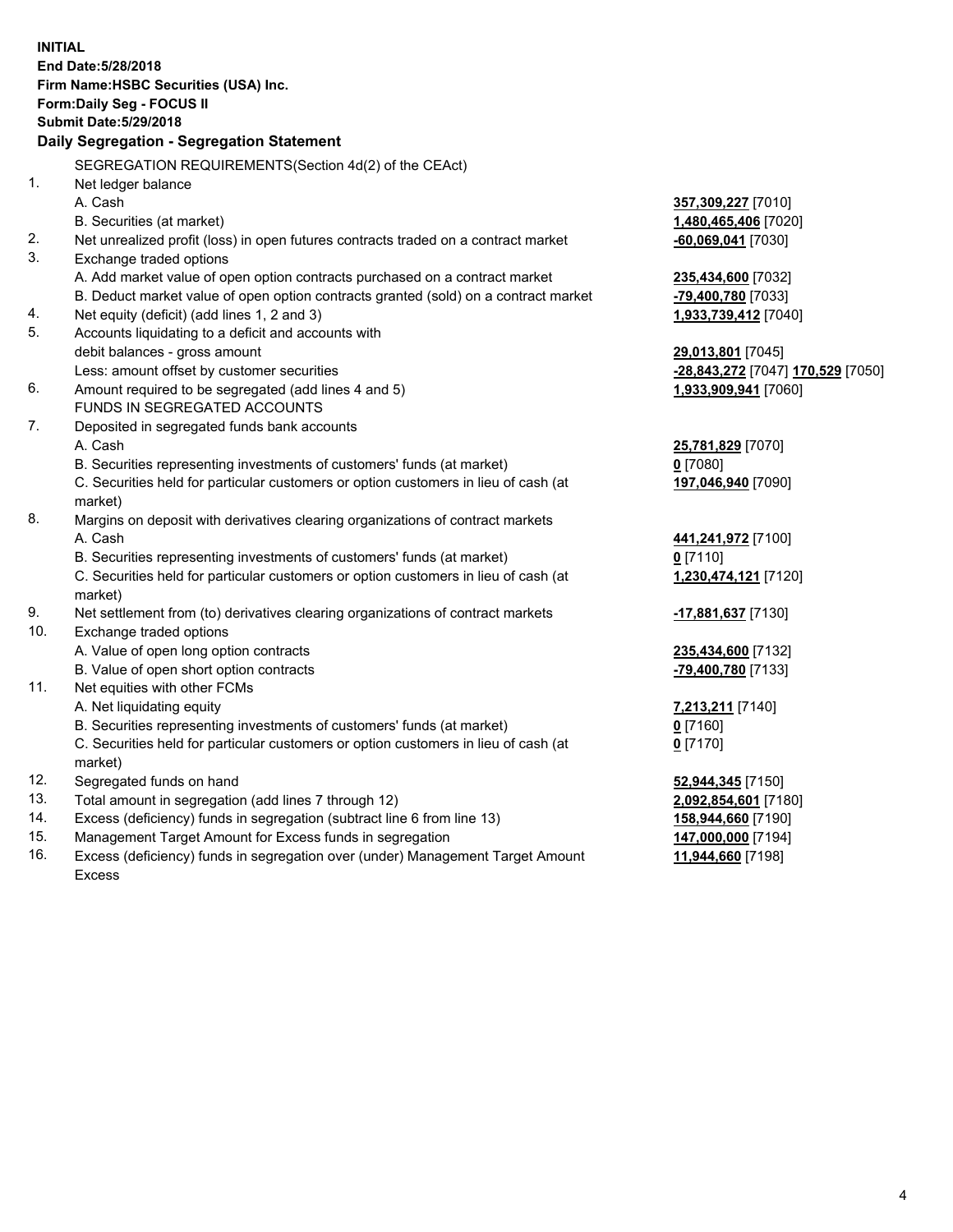**INITIAL End Date:5/28/2018 Firm Name:HSBC Securities (USA) Inc. Form:Daily Seg - FOCUS II Submit Date:5/29/2018 Daily Segregation - Segregation Statement** SEGREGATION REQUIREMENTS(Section 4d(2) of the CEAct) 1. Net ledger balance A. Cash **357,309,227** [7010] B. Securities (at market) **1,480,465,406** [7020] 2. Net unrealized profit (loss) in open futures contracts traded on a contract market **-60,069,041** [7030] 3. Exchange traded options A. Add market value of open option contracts purchased on a contract market **235,434,600** [7032] B. Deduct market value of open option contracts granted (sold) on a contract market **-79,400,780** [7033] 4. Net equity (deficit) (add lines 1, 2 and 3) **1,933,739,412** [7040] 5. Accounts liquidating to a deficit and accounts with debit balances - gross amount **29,013,801** [7045] Less: amount offset by customer securities **-28,843,272** [7047] **170,529** [7050] 6. Amount required to be segregated (add lines 4 and 5) **1,933,909,941** [7060] FUNDS IN SEGREGATED ACCOUNTS 7. Deposited in segregated funds bank accounts A. Cash **25,781,829** [7070] B. Securities representing investments of customers' funds (at market) **0** [7080] C. Securities held for particular customers or option customers in lieu of cash (at market) **197,046,940** [7090] 8. Margins on deposit with derivatives clearing organizations of contract markets A. Cash **441,241,972** [7100] B. Securities representing investments of customers' funds (at market) **0** [7110] C. Securities held for particular customers or option customers in lieu of cash (at market) **1,230,474,121** [7120] 9. Net settlement from (to) derivatives clearing organizations of contract markets **-17,881,637** [7130] 10. Exchange traded options A. Value of open long option contracts **235,434,600** [7132] B. Value of open short option contracts **-79,400,780** [7133] 11. Net equities with other FCMs A. Net liquidating equity **7,213,211** [7140] B. Securities representing investments of customers' funds (at market) **0** [7160] C. Securities held for particular customers or option customers in lieu of cash (at market) **0** [7170] 12. Segregated funds on hand **52,944,345** [7150] 13. Total amount in segregation (add lines 7 through 12) **2,092,854,601** [7180] 14. Excess (deficiency) funds in segregation (subtract line 6 from line 13) **158,944,660** [7190] 15. Management Target Amount for Excess funds in segregation **147,000,000** [7194]

16. Excess (deficiency) funds in segregation over (under) Management Target Amount Excess

**11,944,660** [7198]